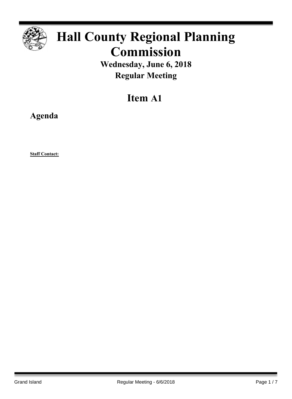

# **Hall County Regional Planning Commission**

**Wednesday, June 6, 2018 Regular Meeting**

## **Item A1**

**Agenda**

**Staff Contact:**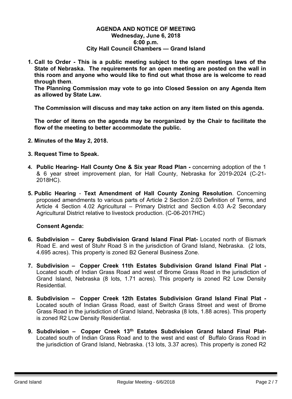#### **AGENDA AND NOTICE OF MEETING Wednesday, June 6, 2018 6:00 p.m. City Hall Council Chambers — Grand Island**

**1. Call to Order - This is a public meeting subject to the open meetings laws of the State of Nebraska. The requirements for an open meeting are posted on the wall in this room and anyone who would like to find out what those are is welcome to read through them**.

**The Planning Commission may vote to go into Closed Session on any Agenda Item as allowed by State Law.**

**The Commission will discuss and may take action on any item listed on this agenda.**

**The order of items on the agenda may be reorganized by the Chair to facilitate the flow of the meeting to better accommodate the public.**

- **2. Minutes of the May 2, 2018.**
- **3. Request Time to Speak.**
- **4. Public Hearing- Hall County One & Six year Road Plan -** concerning adoption of the 1 & 6 year street improvement plan, for Hall County, Nebraska for 2019-2024 (C-21- 2018HC).
- **5. Public Hearing Text Amendment of Hall County Zoning Resolution**. Concerning proposed amendments to various parts of Article 2 Section 2.03 Definition of Terms, and Article 4 Section 4.02 Agricultural – Primary District and Section 4.03 A-2 Secondary Agricultural District relative to livestock production. (C-06-2017HC)

### **Consent Agenda:**

- **6. Subdivision – Carey Subdivision Grand Island Final Plat-** Located north of Bismark Road E. and west of Stuhr Road S in the jurisdiction of Grand Island, Nebraska. (2 lots, 4.695 acres). This property is zoned B2 General Business Zone.
- **7. Subdivision – Copper Creek 11th Estates Subdivision Grand Island Final Plat -** Located south of Indian Grass Road and west of Brome Grass Road in the jurisdiction of Grand Island, Nebraska (8 lots, 1.71 acres). This property is zoned R2 Low Density Residential.
- **8. Subdivision – Copper Creek 12th Estates Subdivision Grand Island Final Plat -** Located south of Indian Grass Road, east of Switch Grass Street and west of Brome Grass Road in the jurisdiction of Grand Island, Nebraska (8 lots, 1.88 acres). This property is zoned R2 Low Density Residential.
- **9. Subdivision – Copper Creek 13th Estates Subdivision Grand Island Final Plat-**Located south of Indian Grass Road and to the west and east of Buffalo Grass Road in the jurisdiction of Grand Island, Nebraska. (13 lots, 3.37 acres). This property is zoned R2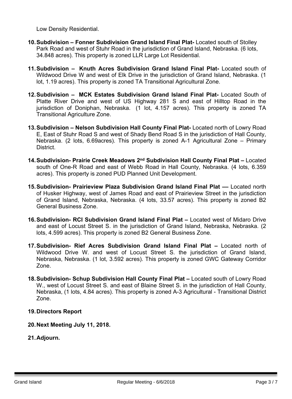Low Density Residential.

- **10.Subdivision – Fonner Subdivision Grand Island Final Plat-** Located south of Stolley Park Road and west of Stuhr Road in the jurisdiction of Grand Island, Nebraska. (6 lots, 34.848 acres). This property is zoned LLR Large Lot Residential.
- **11.Subdivision – Knuth Acres Subdivision Grand Island Final Plat-** Located south of Wildwood Drive W and west of Elk Drive in the jurisdiction of Grand Island, Nebraska. (1 lot, 1.19 acres). This property is zoned TA Transitional Agricultural Zone.
- **12.Subdivision – MCK Estates Subdivision Grand Island Final Plat-** Located South of Platte River Drive and west of US Highway 281 S and east of Hilltop Road in the jurisdiction of Doniphan, Nebraska. (1 lot, 4.157 acres). This property is zoned TA Transitional Agriculture Zone.
- **13.Subdivision – Nelson Subdivision Hall County Final Plat-** Located north of Lowry Road E, East of Stuhr Road S and west of Shady Bend Road S in the jurisdiction of Hall County, Nebraska. (2 lots, 6.69acres). This property is zoned A-1 Agricultural Zone – Primary District.
- **14.Subdivision- Prairie Creek Meadows 2 nd Subdivision Hall County Final Plat –** Located south of One-R Road and east of Webb Road in Hall County, Nebraska. (4 lots, 6.359 acres). This property is zoned PUD Planned Unit Development.
- **15.Subdivision- Prairieview Plaza Subdivision Grand Island Final Plat ––** Located north of Husker Highway, west of James Road and east of Prairieview Street in the jurisdiction of Grand Island, Nebraska, Nebraska. (4 lots, 33.57 acres). This property is zoned B2 General Business Zone.
- **16.Subdivision- RCI Subdivision Grand Island Final Plat –** Located west of Midaro Drive and east of Locust Street S. in the jurisdiction of Grand Island, Nebraska, Nebraska. (2 lots, 4.599 acres). This property is zoned B2 General Business Zone.
- **17.Subdivision- Rief Acres Subdivision Grand Island Final Plat –** Located north of Wildwood Drive W. and west of Locust Street S. the jurisdiction of Grand Island, Nebraska, Nebraska. (1 lot, 3.592 acres). This property is zoned GWC Gateway Corridor Zone.
- **18.Subdivision- Schup Subdivision Hall County Final Plat –** Located south of Lowry Road W., west of Locust Street S. and east of Blaine Street S. in the jurisdiction of Hall County, Nebraska, (1 lots, 4.84 acres). This property is zoned A-3 Agricultural - Transitional District Zone.

### **19.Directors Report**

- **20.Next Meeting July 11, 2018.**
- **21.Adjourn.**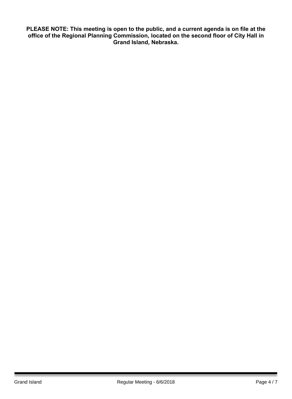**PLEASE NOTE: This meeting is open to the public, and a current agenda is on file at the office of the Regional Planning Commission, located on the second floor of City Hall in Grand Island, Nebraska.**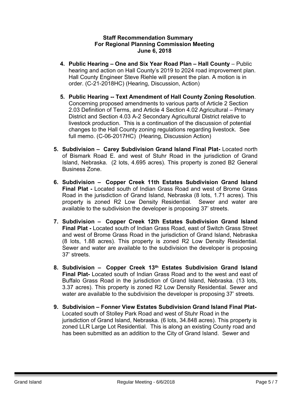### **Staff Recommendation Summary For Regional Planning Commission Meeting June 6, 2018**

- **4. Public Hearing – One and Six Year Road Plan – Hall County** Public hearing and action on Hall County's 2019 to 2024 road improvement plan. Hall County Engineer Steve Riehle will present the plan. A motion is in order. (C-21-2018HC) (Hearing, Discussion, Action)
- **5. Public Hearing -- Text Amendment of Hall County Zoning Resolution**. Concerning proposed amendments to various parts of Article 2 Section 2.03 Definition of Terms, and Article 4 Section 4.02 Agricultural – Primary District and Section 4.03 A-2 Secondary Agricultural District relative to livestock production. This is a continuation of the discussion of potential changes to the Hall County zoning regulations regarding livestock. See full memo. (C-06-2017HC) (Hearing, Discussion Action)
- **5. Subdivision – Carey Subdivision Grand Island Final Plat-** Located north of Bismark Road E. and west of Stuhr Road in the jurisdiction of Grand Island, Nebraska. (2 lots, 4.695 acres). This property is zoned B2 General Business Zone.
- **6. Subdivision – Copper Creek 11th Estates Subdivision Grand Island Final Plat -** Located south of Indian Grass Road and west of Brome Grass Road in the jurisdiction of Grand Island, Nebraska (8 lots, 1.71 acres). This property is zoned R2 Low Density Residential. Sewer and water are available to the subdivision the developer is proposing 37' streets.
- **7. Subdivision – Copper Creek 12th Estates Subdivision Grand Island Final Plat -** Located south of Indian Grass Road, east of Switch Grass Street and west of Brome Grass Road in the jurisdiction of Grand Island, Nebraska (8 lots, 1.88 acres). This property is zoned R2 Low Density Residential. Sewer and water are available to the subdivision the developer is proposing 37' streets.
- **8. Subdivision – Copper Creek 13th Estates Subdivision Grand Island Final Plat-** Located south of Indian Grass Road and to the west and east of Buffalo Grass Road in the jurisdiction of Grand Island, Nebraska. (13 lots, 3.37 acres). This property is zoned R2 Low Density Residential. Sewer and water are available to the subdivision the developer is proposing 37' streets.
- **9. Subdivision – Fonner View Estates Subdivision Grand Island Final Plat-**Located south of Stolley Park Road and west of Stuhr Road in the jurisdiction of Grand Island, Nebraska. (6 lots, 34.848 acres). This property is zoned LLR Large Lot Residential. This is along an existing County road and has been submitted as an addition to the City of Grand Island. Sewer and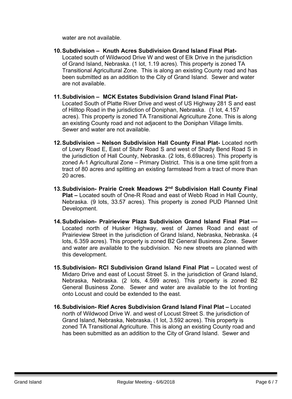water are not available.

- **10.Subdivision – Knuth Acres Subdivision Grand Island Final Plat-**Located south of Wildwood Drive W and west of Elk Drive in the jurisdiction of Grand Island, Nebraska. (1 lot, 1.19 acres). This property is zoned TA Transitional Agricultural Zone. This is along an existing County road and has been submitted as an addition to the City of Grand Island. Sewer and water are not available.
- **11.Subdivision – MCK Estates Subdivision Grand Island Final Plat-**Located South of Platte River Drive and west of US Highway 281 S and east of Hilltop Road in the jurisdiction of Doniphan, Nebraska. (1 lot, 4.157 acres). This property is zoned TA Transitional Agriculture Zone. This is along an existing County road and not adjacent to the Doniphan Village limits. Sewer and water are not available.
- **12.Subdivision – Nelson Subdivision Hall County Final Plat-** Located north of Lowry Road E, East of Stuhr Road S and west of Shady Bend Road S in the jurisdiction of Hall County, Nebraska. (2 lots, 6.69acres). This property is zoned A-1 Agricultural Zone – Primary District. This is a one time split from a tract of 80 acres and splitting an existing farmstead from a tract of more than 20 acres.
- **13.Subdivision- Prairie Creek Meadows 2 nd Subdivision Hall County Final Plat –** Located south of One-R Road and east of Webb Road in Hall County, Nebraska. (9 lots, 33.57 acres). This property is zoned PUD Planned Unit Development.
- **14.Subdivision- Prairieview Plaza Subdivision Grand Island Final Plat ––** Located north of Husker Highway, west of James Road and east of Prairieview Street in the jurisdiction of Grand Island, Nebraska, Nebraska. (4 lots, 6.359 acres). This property is zoned B2 General Business Zone. Sewer and water are available to the subdivision. No new streets are planned with this development.
- **15.Subdivision- RCI Subdivision Grand Island Final Plat –** Located west of Midaro Drive and east of Locust Street S. in the jurisdiction of Grand Island, Nebraska, Nebraska. (2 lots, 4.599 acres). This property is zoned B2 General Business Zone. Sewer and water are available to the lot fronting onto Locust and could be extended to the east.
- **16.Subdivision- Rief Acres Subdivision Grand Island Final Plat –** Located north of Wildwood Drive W. and west of Locust Street S. the jurisdiction of Grand Island, Nebraska, Nebraska. (1 lot, 3.592 acres). This property is zoned TA Transitional Agriculture. This is along an existing County road and has been submitted as an addition to the City of Grand Island. Sewer and